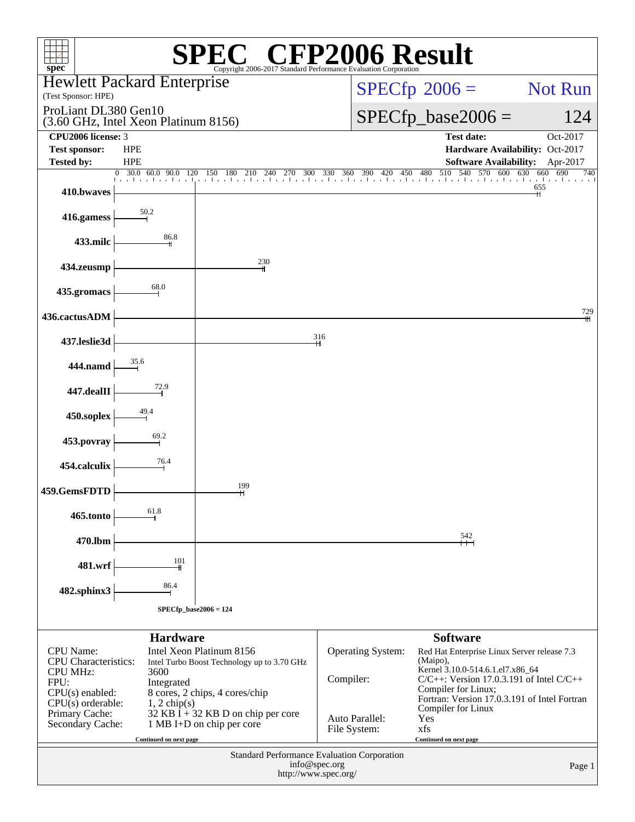| <b>N® CFP2006 Result</b><br>$spec^*$<br>Copyright 2006-2017 Standard Performance Evaluation Corporation                                          |                                                                                                       |  |  |  |  |  |
|--------------------------------------------------------------------------------------------------------------------------------------------------|-------------------------------------------------------------------------------------------------------|--|--|--|--|--|
| <b>Hewlett Packard Enterprise</b><br>(Test Sponsor: HPE)                                                                                         | $SPECfp^{\circledast}2006 =$<br>Not Run                                                               |  |  |  |  |  |
| ProLiant DL380 Gen10<br>(3.60 GHz, Intel Xeon Platinum 8156)                                                                                     | $SPECfp\_base2006 =$<br>124                                                                           |  |  |  |  |  |
| CPU <sub>2006</sub> license: 3                                                                                                                   | <b>Test date:</b><br>Oct-2017                                                                         |  |  |  |  |  |
| <b>Test sponsor:</b><br><b>HPE</b><br><b>Tested by:</b><br><b>HPE</b>                                                                            | Hardware Availability: Oct-2017<br><b>Software Availability:</b><br>Apr-2017                          |  |  |  |  |  |
| 0 30.0 60.0 90.0 120                                                                                                                             | 30.0 60.0 90.0 120 150 180 210 240 270 300 330 360 390 420 450 480 510 540 570 600 630 660 690<br>740 |  |  |  |  |  |
| 410.bwaves                                                                                                                                       | 655                                                                                                   |  |  |  |  |  |
| $\frac{50.2}{2}$<br>416.gamess                                                                                                                   |                                                                                                       |  |  |  |  |  |
| 86.8<br>433.milc                                                                                                                                 |                                                                                                       |  |  |  |  |  |
| 230<br>434.zeusmp                                                                                                                                |                                                                                                       |  |  |  |  |  |
| 68.0<br>435.gromacs                                                                                                                              |                                                                                                       |  |  |  |  |  |
| 436.cactusADM                                                                                                                                    | 729                                                                                                   |  |  |  |  |  |
| 437.leslie3d                                                                                                                                     | 316                                                                                                   |  |  |  |  |  |
| 35.6<br>444.namd                                                                                                                                 |                                                                                                       |  |  |  |  |  |
| $\frac{72.9}{2}$<br>447.dealII                                                                                                                   |                                                                                                       |  |  |  |  |  |
| 49.4<br>450.soplex                                                                                                                               |                                                                                                       |  |  |  |  |  |
| 69.2<br>453.povray                                                                                                                               |                                                                                                       |  |  |  |  |  |
| 76.4<br>454.calculix                                                                                                                             |                                                                                                       |  |  |  |  |  |
| 199<br>459.GemsFDTD                                                                                                                              |                                                                                                       |  |  |  |  |  |
| 61.8<br>465.tonto                                                                                                                                |                                                                                                       |  |  |  |  |  |
| 470.lbm                                                                                                                                          | $\frac{542}{+}$                                                                                       |  |  |  |  |  |
| 101<br>481.wrf                                                                                                                                   |                                                                                                       |  |  |  |  |  |
| 86.4<br>482.sphinx3                                                                                                                              |                                                                                                       |  |  |  |  |  |
| $SPECfp\_base2006 = 124$                                                                                                                         |                                                                                                       |  |  |  |  |  |
| <b>Hardware</b>                                                                                                                                  | <b>Software</b>                                                                                       |  |  |  |  |  |
| <b>CPU</b> Name:<br>Intel Xeon Platinum 8156<br><b>CPU</b> Characteristics:<br>Intel Turbo Boost Technology up to 3.70 GHz                       | Operating System:<br>Red Hat Enterprise Linux Server release 7.3<br>(Maipo),                          |  |  |  |  |  |
| <b>CPU MHz:</b><br>3600                                                                                                                          | Kernel 3.10.0-514.6.1.el7.x86_64<br>Compiler:<br>$C/C++$ : Version 17.0.3.191 of Intel $C/C++$        |  |  |  |  |  |
| FPU:<br>Integrated<br>Compiler for Linux;<br>$CPU(s)$ enabled:<br>8 cores, 2 chips, 4 cores/chip<br>Fortran: Version 17.0.3.191 of Intel Fortran |                                                                                                       |  |  |  |  |  |
| $CPU(s)$ orderable:<br>$1, 2$ chip(s)<br>Compiler for Linux<br>Primary Cache:<br>$32$ KB I + 32 KB D on chip per core<br>Auto Parallel:<br>Yes   |                                                                                                       |  |  |  |  |  |
| 1 MB I+D on chip per core<br>Secondary Cache:<br>Continued on next page                                                                          | File System:<br>xfs<br>Continued on next page                                                         |  |  |  |  |  |
| Standard Performance Evaluation Corporation                                                                                                      |                                                                                                       |  |  |  |  |  |
| info@spec.org<br>Page 1<br>http://www.spec.org/                                                                                                  |                                                                                                       |  |  |  |  |  |
|                                                                                                                                                  |                                                                                                       |  |  |  |  |  |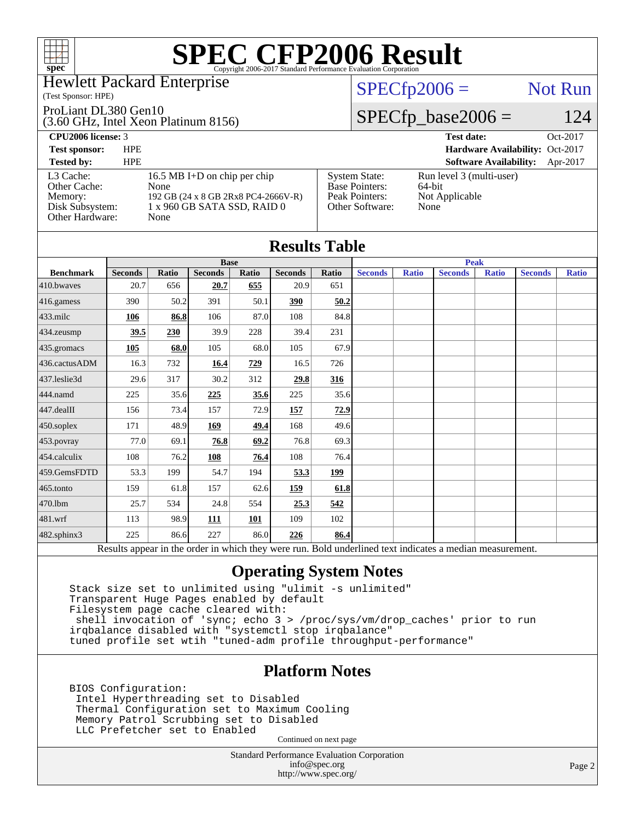

### Hewlett Packard Enterprise

### (Test Sponsor: HPE)

### ProLiant DL380 Gen10

(3.60 GHz, Intel Xeon Platinum 8156)

# $SPECfp2006 =$  Not Run

### $SPECfp\_base2006 = 124$

| <b>CPU2006 license: 3</b>                                                  |                                                                                                                    |                                                                                    | <b>Test date:</b><br>Oct-2017                                |
|----------------------------------------------------------------------------|--------------------------------------------------------------------------------------------------------------------|------------------------------------------------------------------------------------|--------------------------------------------------------------|
| <b>Test sponsor:</b>                                                       | <b>HPE</b>                                                                                                         |                                                                                    | Hardware Availability: Oct-2017                              |
| <b>Tested by:</b>                                                          | <b>HPE</b>                                                                                                         |                                                                                    | <b>Software Availability:</b><br>Apr-2017                    |
| L3 Cache:<br>Other Cache:<br>Memory:<br>Disk Subsystem:<br>Other Hardware: | 16.5 MB I+D on chip per chip<br>None<br>192 GB (24 x 8 GB 2Rx8 PC4-2666V-R)<br>1 x 960 GB SATA SSD, RAID 0<br>None | <b>System State:</b><br><b>Base Pointers:</b><br>Peak Pointers:<br>Other Software: | Run level 3 (multi-user)<br>64-bit<br>Not Applicable<br>None |

| <b>Results Table</b> |                |       |                |       |                |       |                |              |                                                                                                          |              |                |              |
|----------------------|----------------|-------|----------------|-------|----------------|-------|----------------|--------------|----------------------------------------------------------------------------------------------------------|--------------|----------------|--------------|
|                      | <b>Base</b>    |       |                |       | <b>Peak</b>    |       |                |              |                                                                                                          |              |                |              |
| <b>Benchmark</b>     | <b>Seconds</b> | Ratio | <b>Seconds</b> | Ratio | <b>Seconds</b> | Ratio | <b>Seconds</b> | <b>Ratio</b> | <b>Seconds</b>                                                                                           | <b>Ratio</b> | <b>Seconds</b> | <b>Ratio</b> |
| $410$ .bwayes        | 20.7           | 656   | 20.7           | 655   | 20.9           | 651   |                |              |                                                                                                          |              |                |              |
| 416.gamess           | 390            | 50.2  | 391            | 50.1  | 390            | 50.2  |                |              |                                                                                                          |              |                |              |
| $433$ .milc          | 106            | 86.8  | 106            | 87.0  | 108            | 84.8  |                |              |                                                                                                          |              |                |              |
| $434$ .zeusmp        | 39.5           | 230   | 39.9           | 228   | 39.4           | 231   |                |              |                                                                                                          |              |                |              |
| 435.gromacs          | 105            | 68.0  | 105            | 68.0  | 105            | 67.9  |                |              |                                                                                                          |              |                |              |
| 436.cactusADM        | 16.3           | 732   | 16.4           | 729   | 16.5           | 726   |                |              |                                                                                                          |              |                |              |
| 437.leslie3d         | 29.6           | 317   | 30.2           | 312   | 29.8           | 316   |                |              |                                                                                                          |              |                |              |
| 444.namd             | 225            | 35.6  | 225            | 35.6  | 225            | 35.6  |                |              |                                                                                                          |              |                |              |
| $447$ .dealII        | 156            | 73.4  | 157            | 72.9  | 157            | 72.9  |                |              |                                                                                                          |              |                |              |
| $450$ .soplex        | 171            | 48.9  | 169            | 49.4  | 168            | 49.6  |                |              |                                                                                                          |              |                |              |
| 453.povray           | 77.0           | 69.1  | 76.8           | 69.2  | 76.8           | 69.3  |                |              |                                                                                                          |              |                |              |
| 454.calculix         | 108            | 76.2  | 108            | 76.4  | 108            | 76.4  |                |              |                                                                                                          |              |                |              |
| 459.GemsFDTD         | 53.3           | 199   | 54.7           | 194   | 53.3           | 199   |                |              |                                                                                                          |              |                |              |
| $465$ .tonto         | 159            | 61.8  | 157            | 62.6  | 159            | 61.8  |                |              |                                                                                                          |              |                |              |
| 470.1bm              | 25.7           | 534   | 24.8           | 554   | 25.3           | 542   |                |              |                                                                                                          |              |                |              |
| $ 481$ .wrf          | 113            | 98.9  | 111            | 101   | 109            | 102   |                |              |                                                                                                          |              |                |              |
| 482.sphinx3          | 225            | 86.6  | 227            | 86.0  | 226            | 86.4  |                |              |                                                                                                          |              |                |              |
|                      |                |       |                |       |                |       |                |              | Results appear in the order in which they were run. Bold underlined text indicates a median measurement. |              |                |              |

### **[Operating System Notes](http://www.spec.org/auto/cpu2006/Docs/result-fields.html#OperatingSystemNotes)**

 Stack size set to unlimited using "ulimit -s unlimited" Transparent Huge Pages enabled by default Filesystem page cache cleared with: shell invocation of 'sync; echo 3 > /proc/sys/vm/drop\_caches' prior to run irqbalance disabled with "systemctl stop irqbalance" tuned profile set wtih "tuned-adm profile throughput-performance"

### **[Platform Notes](http://www.spec.org/auto/cpu2006/Docs/result-fields.html#PlatformNotes)**

 BIOS Configuration: Intel Hyperthreading set to Disabled Thermal Configuration set to Maximum Cooling Memory Patrol Scrubbing set to Disabled LLC Prefetcher set to Enabled

Continued on next page

Standard Performance Evaluation Corporation [info@spec.org](mailto:info@spec.org) <http://www.spec.org/>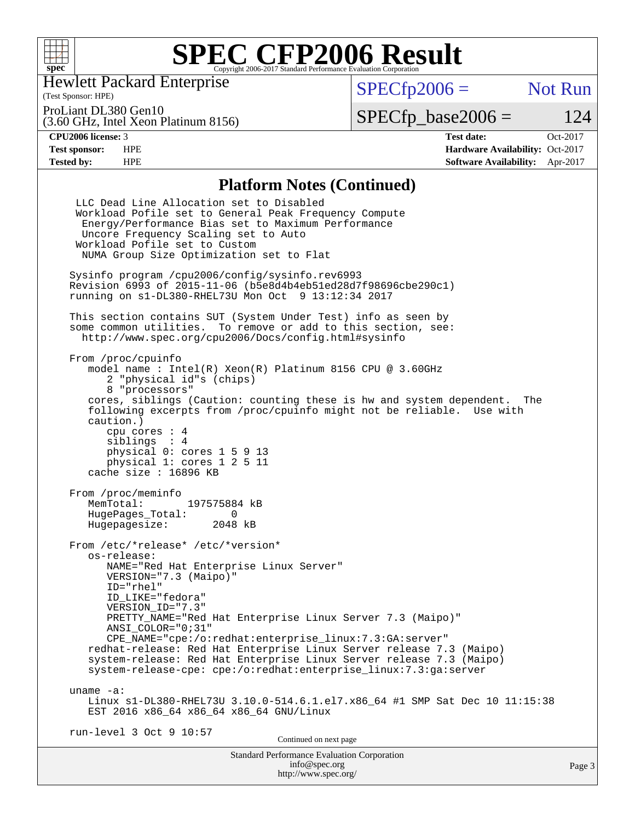

(Test Sponsor: HPE) Hewlett Packard Enterprise

 $SPECfp2006 =$  Not Run

ProLiant DL380 Gen10

(3.60 GHz, Intel Xeon Platinum 8156)

 $SPECfp\_base2006 = 124$ 

**[CPU2006 license:](http://www.spec.org/auto/cpu2006/Docs/result-fields.html#CPU2006license)** 3 **[Test date:](http://www.spec.org/auto/cpu2006/Docs/result-fields.html#Testdate)** Oct-2017 **[Test sponsor:](http://www.spec.org/auto/cpu2006/Docs/result-fields.html#Testsponsor)** HPE **[Hardware Availability:](http://www.spec.org/auto/cpu2006/Docs/result-fields.html#HardwareAvailability)** Oct-2017 **[Tested by:](http://www.spec.org/auto/cpu2006/Docs/result-fields.html#Testedby)** HPE **[Software Availability:](http://www.spec.org/auto/cpu2006/Docs/result-fields.html#SoftwareAvailability)** Apr-2017

### **[Platform Notes \(Continued\)](http://www.spec.org/auto/cpu2006/Docs/result-fields.html#PlatformNotes)**

| Standard Performance Evaluation Corporation<br>info@spec.org                                                                                                                                                                                                                                                                                                                                                                                                                                                                             | Page 3 |
|------------------------------------------------------------------------------------------------------------------------------------------------------------------------------------------------------------------------------------------------------------------------------------------------------------------------------------------------------------------------------------------------------------------------------------------------------------------------------------------------------------------------------------------|--------|
| Continued on next page                                                                                                                                                                                                                                                                                                                                                                                                                                                                                                                   |        |
| uname $-a$ :<br>Linux s1-DL380-RHEL73U 3.10.0-514.6.1.el7.x86_64 #1 SMP Sat Dec 10 11:15:38<br>EST 2016 x86_64 x86_64 x86_64 GNU/Linux<br>run-level 3 Oct 9 10:57                                                                                                                                                                                                                                                                                                                                                                        |        |
| From /etc/*release* /etc/*version*<br>os-release:<br>NAME="Red Hat Enterprise Linux Server"<br>VERSION="7.3 (Maipo)"<br>ID="rhel"<br>ID LIKE="fedora"<br>VERSION ID="7.3"<br>PRETTY_NAME="Red Hat Enterprise Linux Server 7.3 (Maipo)"<br>ANSI COLOR="0;31"<br>CPE_NAME="cpe:/o:redhat:enterprise_linux:7.3:GA:server"<br>redhat-release: Red Hat Enterprise Linux Server release 7.3 (Maipo)<br>system-release: Red Hat Enterprise Linux Server release 7.3 (Maipo)<br>system-release-cpe: cpe:/o:redhat:enterprise_linux:7.3:ga:server |        |
| From /proc/meminfo<br>MemTotal: 197575884 kB<br>HugePages_Total: 0<br>Hugepagesize: 2048 kB                                                                                                                                                                                                                                                                                                                                                                                                                                              |        |
| From /proc/cpuinfo<br>model name: $Intel(R)$ Xeon $(R)$ Platinum 8156 CPU @ 3.60GHz<br>2 "physical id"s (chips)<br>8 "processors"<br>cores, siblings (Caution: counting these is hw and system dependent. The<br>following excerpts from /proc/cpuinfo might not be reliable. Use with<br>caution.)<br>cpu cores : 4<br>siblings : 4<br>physical 0: cores 1 5 9 13<br>physical 1: cores 1 2 5 11<br>cache size : 16896 KB                                                                                                                |        |
| This section contains SUT (System Under Test) info as seen by<br>some common utilities. To remove or add to this section, see:<br>http://www.spec.org/cpu2006/Docs/config.html#sysinfo                                                                                                                                                                                                                                                                                                                                                   |        |
| Sysinfo program /cpu2006/config/sysinfo.rev6993<br>Revision 6993 of 2015-11-06 (b5e8d4b4eb51ed28d7f98696cbe290c1)<br>running on s1-DL380-RHEL73U Mon Oct 9 13:12:34 2017                                                                                                                                                                                                                                                                                                                                                                 |        |
| LLC Dead Line Allocation set to Disabled<br>Workload Pofile set to General Peak Frequency Compute<br>Energy/Performance Bias set to Maximum Performance<br>Uncore Frequency Scaling set to Auto<br>Workload Pofile set to Custom<br>NUMA Group Size Optimization set to Flat                                                                                                                                                                                                                                                             |        |

<http://www.spec.org/>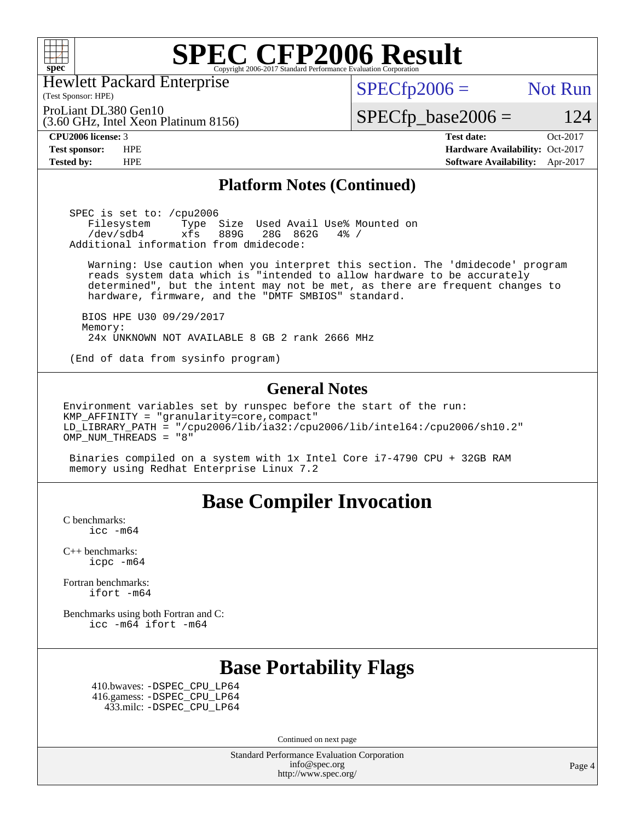

Hewlett Packard Enterprise

 $SPECTp2006 =$  Not Run

ProLiant DL380 Gen10

(3.60 GHz, Intel Xeon Platinum 8156)

(Test Sponsor: HPE)

**[Tested by:](http://www.spec.org/auto/cpu2006/Docs/result-fields.html#Testedby)** HPE **[Software Availability:](http://www.spec.org/auto/cpu2006/Docs/result-fields.html#SoftwareAvailability)** Apr-2017

 $SPECfp\_base2006 = 124$ **[CPU2006 license:](http://www.spec.org/auto/cpu2006/Docs/result-fields.html#CPU2006license)** 3 **[Test date:](http://www.spec.org/auto/cpu2006/Docs/result-fields.html#Testdate)** Oct-2017 **[Test sponsor:](http://www.spec.org/auto/cpu2006/Docs/result-fields.html#Testsponsor)** HPE **[Hardware Availability:](http://www.spec.org/auto/cpu2006/Docs/result-fields.html#HardwareAvailability)** Oct-2017

### **[Platform Notes \(Continued\)](http://www.spec.org/auto/cpu2006/Docs/result-fields.html#PlatformNotes)**

 SPEC is set to: /cpu2006 Filesystem Type Size Used Avail Use% Mounted on<br>/dev/sdb4 xfs 889G 28G 862G 4% / /dev/sdb4 xfs 889G 28G 862G 4% / Additional information from dmidecode:

 Warning: Use caution when you interpret this section. The 'dmidecode' program reads system data which is "intended to allow hardware to be accurately determined", but the intent may not be met, as there are frequent changes to hardware, firmware, and the "DMTF SMBIOS" standard.

 BIOS HPE U30 09/29/2017 Memory: 24x UNKNOWN NOT AVAILABLE 8 GB 2 rank 2666 MHz

(End of data from sysinfo program)

### **[General Notes](http://www.spec.org/auto/cpu2006/Docs/result-fields.html#GeneralNotes)**

Environment variables set by runspec before the start of the run: KMP\_AFFINITY = "granularity=core,compact" LD\_LIBRARY\_PATH = "/cpu2006/lib/ia32:/cpu2006/lib/intel64:/cpu2006/sh10.2" OMP\_NUM\_THREADS = "8"

 Binaries compiled on a system with 1x Intel Core i7-4790 CPU + 32GB RAM memory using Redhat Enterprise Linux 7.2

## **[Base Compiler Invocation](http://www.spec.org/auto/cpu2006/Docs/result-fields.html#BaseCompilerInvocation)**

[C benchmarks](http://www.spec.org/auto/cpu2006/Docs/result-fields.html#Cbenchmarks): [icc -m64](http://www.spec.org/cpu2006/results/res2017q4/cpu2006-20171017-50303.flags.html#user_CCbase_intel_icc_64bit_bda6cc9af1fdbb0edc3795bac97ada53)

[C++ benchmarks:](http://www.spec.org/auto/cpu2006/Docs/result-fields.html#CXXbenchmarks) [icpc -m64](http://www.spec.org/cpu2006/results/res2017q4/cpu2006-20171017-50303.flags.html#user_CXXbase_intel_icpc_64bit_fc66a5337ce925472a5c54ad6a0de310)

[Fortran benchmarks](http://www.spec.org/auto/cpu2006/Docs/result-fields.html#Fortranbenchmarks): [ifort -m64](http://www.spec.org/cpu2006/results/res2017q4/cpu2006-20171017-50303.flags.html#user_FCbase_intel_ifort_64bit_ee9d0fb25645d0210d97eb0527dcc06e)

[Benchmarks using both Fortran and C](http://www.spec.org/auto/cpu2006/Docs/result-fields.html#BenchmarksusingbothFortranandC): [icc -m64](http://www.spec.org/cpu2006/results/res2017q4/cpu2006-20171017-50303.flags.html#user_CC_FCbase_intel_icc_64bit_bda6cc9af1fdbb0edc3795bac97ada53) [ifort -m64](http://www.spec.org/cpu2006/results/res2017q4/cpu2006-20171017-50303.flags.html#user_CC_FCbase_intel_ifort_64bit_ee9d0fb25645d0210d97eb0527dcc06e)

## **[Base Portability Flags](http://www.spec.org/auto/cpu2006/Docs/result-fields.html#BasePortabilityFlags)**

 410.bwaves: [-DSPEC\\_CPU\\_LP64](http://www.spec.org/cpu2006/results/res2017q4/cpu2006-20171017-50303.flags.html#suite_basePORTABILITY410_bwaves_DSPEC_CPU_LP64) 416.gamess: [-DSPEC\\_CPU\\_LP64](http://www.spec.org/cpu2006/results/res2017q4/cpu2006-20171017-50303.flags.html#suite_basePORTABILITY416_gamess_DSPEC_CPU_LP64) 433.milc: [-DSPEC\\_CPU\\_LP64](http://www.spec.org/cpu2006/results/res2017q4/cpu2006-20171017-50303.flags.html#suite_basePORTABILITY433_milc_DSPEC_CPU_LP64)

Continued on next page

Standard Performance Evaluation Corporation [info@spec.org](mailto:info@spec.org) <http://www.spec.org/>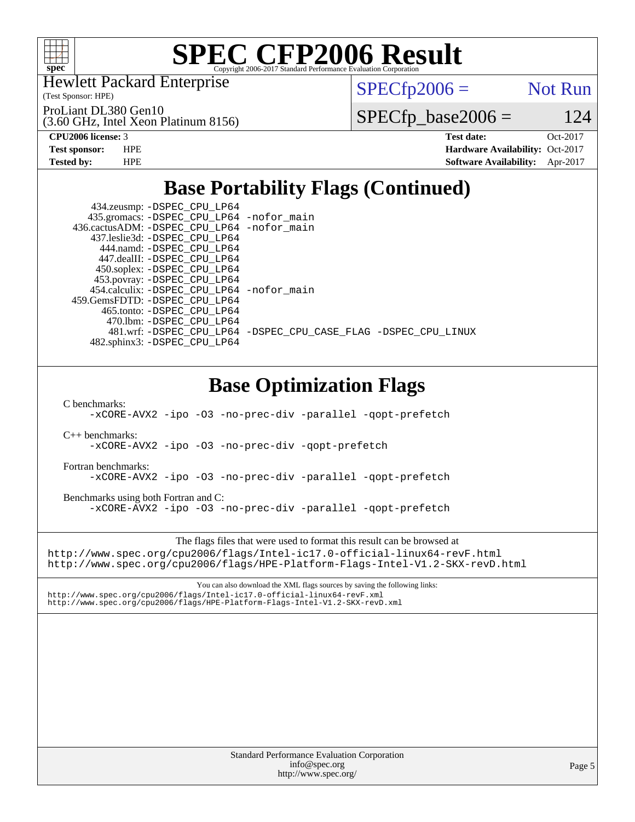

Hewlett Packard Enterprise

(3.60 GHz, Intel Xeon Platinum 8156)

(Test Sponsor: HPE)

ProLiant DL380 Gen10

 $SPECTp2006 =$  Not Run

 $SPECfp\_base2006 = 124$ 

**[CPU2006 license:](http://www.spec.org/auto/cpu2006/Docs/result-fields.html#CPU2006license)** 3 **[Test date:](http://www.spec.org/auto/cpu2006/Docs/result-fields.html#Testdate)** Oct-2017 **[Test sponsor:](http://www.spec.org/auto/cpu2006/Docs/result-fields.html#Testsponsor)** HPE **[Hardware Availability:](http://www.spec.org/auto/cpu2006/Docs/result-fields.html#HardwareAvailability)** Oct-2017 **[Tested by:](http://www.spec.org/auto/cpu2006/Docs/result-fields.html#Testedby)** HPE **[Software Availability:](http://www.spec.org/auto/cpu2006/Docs/result-fields.html#SoftwareAvailability)** Apr-2017

## **[Base Portability Flags \(Continued\)](http://www.spec.org/auto/cpu2006/Docs/result-fields.html#BasePortabilityFlags)**

| 434.zeusmp: -DSPEC_CPU_LP64                 |                                                                |
|---------------------------------------------|----------------------------------------------------------------|
| 435.gromacs: -DSPEC_CPU_LP64 -nofor_main    |                                                                |
| 436.cactusADM: -DSPEC_CPU_LP64 -nofor_main  |                                                                |
| 437.leslie3d: -DSPEC CPU LP64               |                                                                |
| 444.namd: -DSPEC CPU LP64                   |                                                                |
| 447.dealII: -DSPEC CPU LP64                 |                                                                |
| 450.soplex: -DSPEC_CPU_LP64                 |                                                                |
| 453.povray: -DSPEC_CPU_LP64                 |                                                                |
| 454.calculix: - DSPEC CPU LP64 - nofor main |                                                                |
| 459. GemsFDTD: - DSPEC CPU LP64             |                                                                |
| 465.tonto: - DSPEC CPU LP64                 |                                                                |
| 470.1bm: - DSPEC CPU LP64                   |                                                                |
|                                             | 481.wrf: -DSPEC_CPU_LP64 -DSPEC_CPU_CASE_FLAG -DSPEC_CPU_LINUX |
| 482.sphinx3: -DSPEC CPU LP64                |                                                                |
|                                             |                                                                |
|                                             |                                                                |

## **[Base Optimization Flags](http://www.spec.org/auto/cpu2006/Docs/result-fields.html#BaseOptimizationFlags)**

[C benchmarks](http://www.spec.org/auto/cpu2006/Docs/result-fields.html#Cbenchmarks):

[-xCORE-AVX2](http://www.spec.org/cpu2006/results/res2017q4/cpu2006-20171017-50303.flags.html#user_CCbase_f-xCORE-AVX2) [-ipo](http://www.spec.org/cpu2006/results/res2017q4/cpu2006-20171017-50303.flags.html#user_CCbase_f-ipo) [-O3](http://www.spec.org/cpu2006/results/res2017q4/cpu2006-20171017-50303.flags.html#user_CCbase_f-O3) [-no-prec-div](http://www.spec.org/cpu2006/results/res2017q4/cpu2006-20171017-50303.flags.html#user_CCbase_f-no-prec-div) [-parallel](http://www.spec.org/cpu2006/results/res2017q4/cpu2006-20171017-50303.flags.html#user_CCbase_f-parallel) [-qopt-prefetch](http://www.spec.org/cpu2006/results/res2017q4/cpu2006-20171017-50303.flags.html#user_CCbase_f-qopt-prefetch)

[C++ benchmarks:](http://www.spec.org/auto/cpu2006/Docs/result-fields.html#CXXbenchmarks)

[-xCORE-AVX2](http://www.spec.org/cpu2006/results/res2017q4/cpu2006-20171017-50303.flags.html#user_CXXbase_f-xCORE-AVX2) [-ipo](http://www.spec.org/cpu2006/results/res2017q4/cpu2006-20171017-50303.flags.html#user_CXXbase_f-ipo) [-O3](http://www.spec.org/cpu2006/results/res2017q4/cpu2006-20171017-50303.flags.html#user_CXXbase_f-O3) [-no-prec-div](http://www.spec.org/cpu2006/results/res2017q4/cpu2006-20171017-50303.flags.html#user_CXXbase_f-no-prec-div) [-qopt-prefetch](http://www.spec.org/cpu2006/results/res2017q4/cpu2006-20171017-50303.flags.html#user_CXXbase_f-qopt-prefetch)

[Fortran benchmarks](http://www.spec.org/auto/cpu2006/Docs/result-fields.html#Fortranbenchmarks):

[-xCORE-AVX2](http://www.spec.org/cpu2006/results/res2017q4/cpu2006-20171017-50303.flags.html#user_FCbase_f-xCORE-AVX2) [-ipo](http://www.spec.org/cpu2006/results/res2017q4/cpu2006-20171017-50303.flags.html#user_FCbase_f-ipo) [-O3](http://www.spec.org/cpu2006/results/res2017q4/cpu2006-20171017-50303.flags.html#user_FCbase_f-O3) [-no-prec-div](http://www.spec.org/cpu2006/results/res2017q4/cpu2006-20171017-50303.flags.html#user_FCbase_f-no-prec-div) [-parallel](http://www.spec.org/cpu2006/results/res2017q4/cpu2006-20171017-50303.flags.html#user_FCbase_f-parallel) [-qopt-prefetch](http://www.spec.org/cpu2006/results/res2017q4/cpu2006-20171017-50303.flags.html#user_FCbase_f-qopt-prefetch)

[Benchmarks using both Fortran and C](http://www.spec.org/auto/cpu2006/Docs/result-fields.html#BenchmarksusingbothFortranandC): [-xCORE-AVX2](http://www.spec.org/cpu2006/results/res2017q4/cpu2006-20171017-50303.flags.html#user_CC_FCbase_f-xCORE-AVX2) [-ipo](http://www.spec.org/cpu2006/results/res2017q4/cpu2006-20171017-50303.flags.html#user_CC_FCbase_f-ipo) [-O3](http://www.spec.org/cpu2006/results/res2017q4/cpu2006-20171017-50303.flags.html#user_CC_FCbase_f-O3) [-no-prec-div](http://www.spec.org/cpu2006/results/res2017q4/cpu2006-20171017-50303.flags.html#user_CC_FCbase_f-no-prec-div) [-parallel](http://www.spec.org/cpu2006/results/res2017q4/cpu2006-20171017-50303.flags.html#user_CC_FCbase_f-parallel) [-qopt-prefetch](http://www.spec.org/cpu2006/results/res2017q4/cpu2006-20171017-50303.flags.html#user_CC_FCbase_f-qopt-prefetch)

The flags files that were used to format this result can be browsed at <http://www.spec.org/cpu2006/flags/Intel-ic17.0-official-linux64-revF.html> <http://www.spec.org/cpu2006/flags/HPE-Platform-Flags-Intel-V1.2-SKX-revD.html>

You can also download the XML flags sources by saving the following links: <http://www.spec.org/cpu2006/flags/Intel-ic17.0-official-linux64-revF.xml> <http://www.spec.org/cpu2006/flags/HPE-Platform-Flags-Intel-V1.2-SKX-revD.xml>